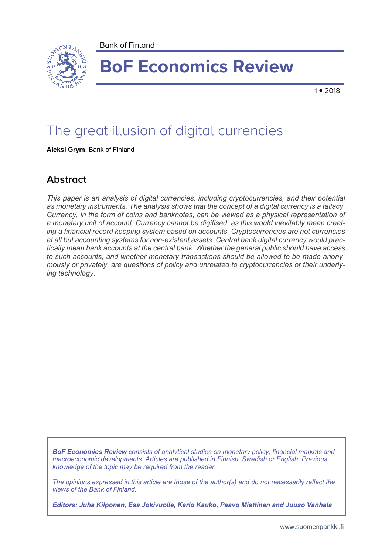

# **BoF Economics Review**

 $1 • 2018$ 

## The great illusion of digital currencies

**Aleksi Grym**, Bank of Finland

## **Abstract**

*This paper is an analysis of digital currencies, including cryptocurrencies, and their potential as monetary instruments. The analysis shows that the concept of a digital currency is a fallacy. Currency, in the form of coins and banknotes, can be viewed as a physical representation of a monetary unit of account. Currency cannot be digitised, as this would inevitably mean creating a financial record keeping system based on accounts. Cryptocurrencies are not currencies at all but accounting systems for non-existent assets. Central bank digital currency would practically mean bank accounts at the central bank. Whether the general public should have access to such accounts, and whether monetary transactions should be allowed to be made anonymously or privately, are questions of policy and unrelated to cryptocurrencies or their underlying technology.*

*BoF Economics Review consists of analytical studies on monetary policy, financial markets and macroeconomic developments. Articles are published in Finnish, Swedish or English. Previous knowledge of the topic may be required from the reader.*

*The opinions expressed in this article are those of the author(s) and do not necessarily reflect the views of the Bank of Finland.*

*Editors: Juha Kilponen, Esa Jokivuolle, Karlo Kauko, Paavo Miettinen and Juuso Vanhala*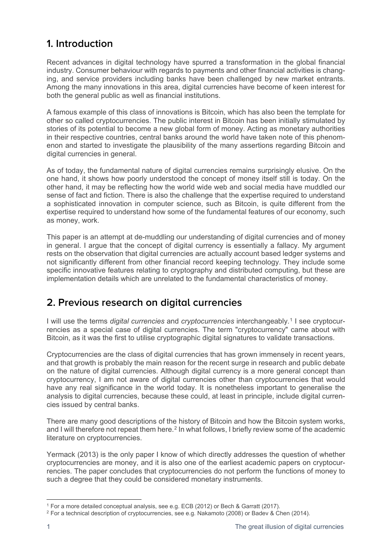## **1. Introduction**

Recent advances in digital technology have spurred a transformation in the global financial industry. Consumer behaviour with regards to payments and other financial activities is changing, and service providers including banks have been challenged by new market entrants. Among the many innovations in this area, digital currencies have become of keen interest for both the general public as well as financial institutions.

A famous example of this class of innovations is Bitcoin, which has also been the template for other so called cryptocurrencies. The public interest in Bitcoin has been initially stimulated by stories of its potential to become a new global form of money. Acting as monetary authorities in their respective countries, central banks around the world have taken note of this phenomenon and started to investigate the plausibility of the many assertions regarding Bitcoin and digital currencies in general.

As of today, the fundamental nature of digital currencies remains surprisingly elusive. On the one hand, it shows how poorly understood the concept of money itself still is today. On the other hand, it may be reflecting how the world wide web and social media have muddled our sense of fact and fiction. There is also the challenge that the expertise required to understand a sophisticated innovation in computer science, such as Bitcoin, is quite different from the expertise required to understand how some of the fundamental features of our economy, such as money, work.

This paper is an attempt at de-muddling our understanding of digital currencies and of money in general. I argue that the concept of digital currency is essentially a fallacy. My argument rests on the observation that digital currencies are actually account based ledger systems and not significantly different from other financial record keeping technology. They include some specific innovative features relating to cryptography and distributed computing, but these are implementation details which are unrelated to the fundamental characteristics of money.

## **2. Previous research on digital currencies**

I will use the terms *digital currencies* and *cryptocurrencies* interchangeably.[1](#page-1-0) I see cryptocurrencies as a special case of digital currencies. The term "cryptocurrency" came about with Bitcoin, as it was the first to utilise cryptographic digital signatures to validate transactions.

Cryptocurrencies are the class of digital currencies that has grown immensely in recent years, and that growth is probably the main reason for the recent surge in research and public debate on the nature of digital currencies. Although digital currency is a more general concept than cryptocurrency, I am not aware of digital currencies other than cryptocurrencies that would have any real significance in the world today. It is nonetheless important to generalise the analysis to digital currencies, because these could, at least in principle, include digital currencies issued by central banks.

There are many good descriptions of the history of Bitcoin and how the Bitcoin system works, and I will therefore not repeat them here.<sup>[2](#page-1-1)</sup> In what follows, I briefly review some of the academic literature on cryptocurrencies.

Yermack (2013) is the only paper I know of which directly addresses the question of whether cryptocurrencies are money, and it is also one of the earliest academic papers on cryptocurrencies. The paper concludes that cryptocurrencies do not perform the functions of money to such a degree that they could be considered monetary instruments.

<sup>&</sup>lt;u>.</u> <sup>1</sup> For a more detailed conceptual analysis, see e.g. ECB (2012) or Bech & Garratt (2017).

<span id="page-1-1"></span><span id="page-1-0"></span><sup>2</sup> For a technical description of cryptocurrencies, see e.g. Nakamoto (2008) or Badev & Chen (2014).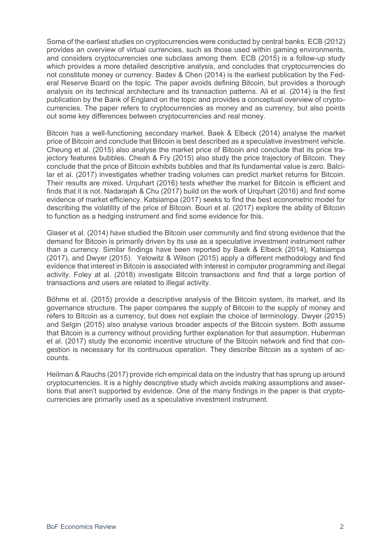Some of the earliest studies on cryptocurrencies were conducted by central banks. ECB (2012) provides an overview of virtual currencies, such as those used within gaming environments, and considers cryptocurrencies one subclass among them. ECB (2015) is a follow-up study which provides a more detailed descriptive analysis, and concludes that cryptocurrencies do not constitute money or currency. Badev & Chen (2014) is the earliest publication by the Federal Reserve Board on the topic. The paper avoids defining Bitcoin, but provides a thorough analysis on its technical architecture and its transaction patterns. Ali et al. (2014) is the first publication by the Bank of England on the topic and provides a conceptual overview of cryptocurrencies. The paper refers to cryptocurrencies as money and as currency, but also points out some key differences between cryptocurrencies and real money.

Bitcoin has a well-functioning secondary market. Baek & Elbeck (2014) analyse the market price of Bitcoin and conclude that Bitcoin is best described as a speculative investment vehicle. Cheung et al. (2015) also analyse the market price of Bitcoin and conclude that its price trajectory features bubbles. Cheah & Fry (2015) also study the price trajectory of Bitcoin. They conclude that the price of Bitcoin exhibits bubbles and that its fundamental value is zero. Balcilar et al. (2017) investigates whether trading volumes can predict market returns for Bitcoin. Their results are mixed. Urquhart (2016) tests whether the market for Bitcoin is efficient and finds that it is not. Nadarajah & Chu (2017) build on the work of Urquhart (2016) and find some evidence of market efficiency. Katsiampa (2017) seeks to find the best econometric model for describing the volatility of the price of Bitcoin. Bouri et al. (2017) explore the ability of Bitcoin to function as a hedging instrument and find some evidence for this.

Glaser et al. (2014) have studied the Bitcoin user community and find strong evidence that the demand for Bitcoin is primarily driven by its use as a speculative investment instrument rather than a currency. Similar findings have been reported by Baek & Elbeck (2014), Katsiampa (2017), and Dwyer (2015). Yelowitz & Wilson (2015) apply a different methodology and find evidence that interest in Bitcoin is associated with interest in computer programming and illegal activity. Foley at al. (2018) investigate Bitcoin transactions and find that a large portion of transactions and users are related to illegal activity.

Böhme et al. (2015) provide a descriptive analysis of the Bitcoin system, its market, and its governance structure. The paper compares the supply of Bitcoin to the supply of money and refers to Bitcoin as a currency, but does not explain the choice of terminology. Dwyer (2015) and Selgin (2015) also analyse various broader aspects of the Bitcoin system. Both assume that Bitcoin is a currency without providing further explanation for that assumption. Huberman et al. (2017) study the economic incentive structure of the Bitcoin network and find that congestion is necessary for its continuous operation. They describe Bitcoin as a system of accounts.

Heilman & Rauchs (2017) provide rich empirical data on the industry that has sprung up around cryptocurrencies. It is a highly descriptive study which avoids making assumptions and assertions that aren't supported by evidence. One of the many findings in the paper is that cryptocurrencies are primarily used as a speculative investment instrument.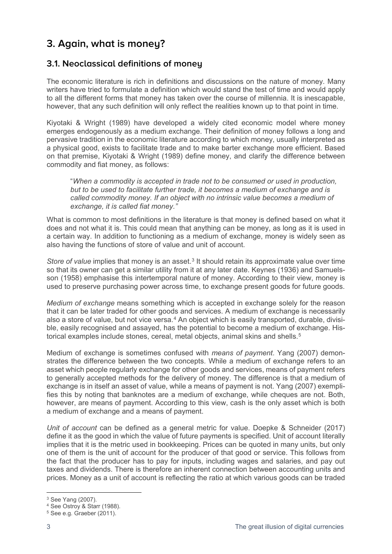## **3. Again, what is money?**

#### **3.1. Neoclassical definitions of money**

The economic literature is rich in definitions and discussions on the nature of money. Many writers have tried to formulate a definition which would stand the test of time and would apply to all the different forms that money has taken over the course of millennia. It is inescapable, however, that any such definition will only reflect the realities known up to that point in time.

Kiyotaki & Wright (1989) have developed a widely cited economic model where money emerges endogenously as a medium exchange. Their definition of money follows a long and pervasive tradition in the economic literature according to which money, usually interpreted as a physical good, exists to facilitate trade and to make barter exchange more efficient. Based on that premise, Kiyotaki & Wright (1989) define money, and clarify the difference between commodity and fiat money, as follows:

"*When a commodity is accepted in trade not to be consumed or used in production, but to be used to facilitate further trade, it becomes a medium of exchange and is called commodity money. If an object with no intrinsic value becomes a medium of exchange, it is called fiat money."*

What is common to most definitions in the literature is that money is defined based on what it does and not what it is. This could mean that anything can be money, as long as it is used in a certain way. In addition to functioning as a medium of exchange, money is widely seen as also having the functions of store of value and unit of account.

*Store of value* implies that money is an asset.<sup>[3](#page-3-0)</sup> It should retain its approximate value over time so that its owner can get a similar utility from it at any later date. Keynes (1936) and Samuelsson (1958) emphasise this intertemporal nature of money. According to their view, money is used to preserve purchasing power across time, to exchange present goods for future goods.

*Medium of exchange* means something which is accepted in exchange solely for the reason that it can be later traded for other goods and services. A medium of exchange is necessarily also a store of value, but not vice versa.[4](#page-3-1) An object which is easily transported, durable, divisible, easily recognised and assayed, has the potential to become a medium of exchange. His-torical examples include stones, cereal, metal objects, animal skins and shells.<sup>[5](#page-3-2)</sup>

Medium of exchange is sometimes confused with *means of payment*. Yang (2007) demonstrates the difference between the two concepts. While a medium of exchange refers to an asset which people regularly exchange for other goods and services, means of payment refers to generally accepted methods for the delivery of money. The difference is that a medium of exchange is in itself an asset of value, while a means of payment is not. Yang (2007) exemplifies this by noting that banknotes are a medium of exchange, while cheques are not. Both, however, are means of payment. According to this view, cash is the only asset which is both a medium of exchange and a means of payment.

*Unit of account* can be defined as a general metric for value. Doepke & Schneider (2017) define it as the good in which the value of future payments is specified. Unit of account literally implies that it is the metric used in bookkeeping. Prices can be quoted in many units, but only one of them is the unit of account for the producer of that good or service. This follows from the fact that the producer has to pay for inputs, including wages and salaries, and pay out taxes and dividends. There is therefore an inherent connection between accounting units and prices. Money as a unit of account is reflecting the ratio at which various goods can be traded

<sup>&</sup>lt;u>.</u> <sup>3</sup> See Yang (2007).

<span id="page-3-1"></span><span id="page-3-0"></span><sup>4</sup> See Ostroy & Starr (1988).

<span id="page-3-2"></span><sup>5</sup> See e.g. Graeber (2011).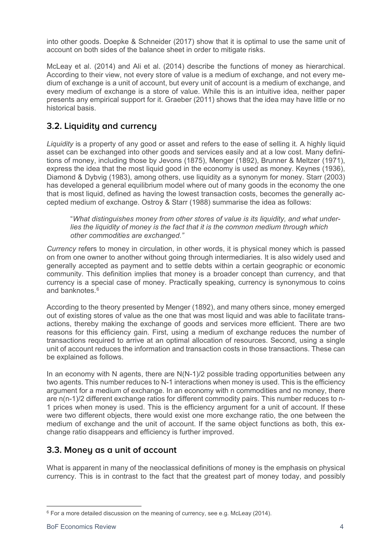into other goods. Doepke & Schneider (2017) show that it is optimal to use the same unit of account on both sides of the balance sheet in order to mitigate risks.

McLeay et al. (2014) and Ali et al. (2014) describe the functions of money as hierarchical. According to their view, not every store of value is a medium of exchange, and not every medium of exchange is a unit of account, but every unit of account is a medium of exchange, and every medium of exchange is a store of value. While this is an intuitive idea, neither paper presents any empirical support for it. Graeber (2011) shows that the idea may have little or no historical basis.

#### **3.2. Liquidity and currency**

*Liquidity* is a property of any good or asset and refers to the ease of selling it. A highly liquid asset can be exchanged into other goods and services easily and at a low cost. Many definitions of money, including those by Jevons (1875), Menger (1892), Brunner & Meltzer (1971), express the idea that the most liquid good in the economy is used as money. Keynes (1936), Diamond & Dybvig (1983), among others, use liquidity as a synonym for money. Starr (2003) has developed a general equilibrium model where out of many goods in the economy the one that is most liquid, defined as having the lowest transaction costs, becomes the generally accepted medium of exchange. Ostroy & Starr (1988) summarise the idea as follows:

"*What distinguishes money from other stores of value is its liquidity, and what underlies the liquidity of money is the fact that it is the common medium through which other commodities are exchanged."*

*Currency* refers to money in circulation, in other words, it is physical money which is passed on from one owner to another without going through intermediaries. It is also widely used and generally accepted as payment and to settle debts within a certain geographic or economic community. This definition implies that money is a broader concept than currency, and that currency is a special case of money. Practically speaking, currency is synonymous to coins and banknotes.<sup>[6](#page-4-0)</sup>

According to the theory presented by Menger (1892), and many others since, money emerged out of existing stores of value as the one that was most liquid and was able to facilitate transactions, thereby making the exchange of goods and services more efficient. There are two reasons for this efficiency gain. First, using a medium of exchange reduces the number of transactions required to arrive at an optimal allocation of resources. Second, using a single unit of account reduces the information and transaction costs in those transactions. These can be explained as follows.

In an economy with N agents, there are N(N-1)/2 possible trading opportunities between any two agents. This number reduces to N-1 interactions when money is used. This is the efficiency argument for a medium of exchange. In an economy with n commodities and no money, there are n(n-1)/2 different exchange ratios for different commodity pairs. This number reduces to n-1 prices when money is used. This is the efficiency argument for a unit of account. If these were two different objects, there would exist one more exchange ratio, the one between the medium of exchange and the unit of account. If the same object functions as both, this exchange ratio disappears and efficiency is further improved.

#### **3.3. Money as a unit of account**

What is apparent in many of the neoclassical definitions of money is the emphasis on physical currency. This is in contrast to the fact that the greatest part of money today, and possibly

<span id="page-4-0"></span><sup>1</sup>  $6$  For a more detailed discussion on the meaning of currency, see e.g. McLeay (2014).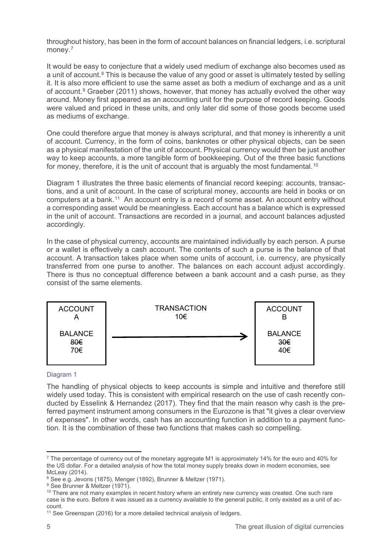throughout history, has been in the form of account balances on financial ledgers, i.e. scriptural money.<sup>[7](#page-5-0)</sup>

It would be easy to conjecture that a widely used medium of exchange also becomes used as a unit of account.<sup>[8](#page-5-1)</sup> This is because the value of any good or asset is ultimately tested by selling it. It is also more efficient to use the same asset as both a medium of exchange and as a unit of account.[9](#page-5-2) Graeber (2011) shows, however, that money has actually evolved the other way around. Money first appeared as an accounting unit for the purpose of record keeping. Goods were valued and priced in these units, and only later did some of those goods become used as mediums of exchange.

One could therefore argue that money is always scriptural, and that money is inherently a unit of account. Currency, in the form of coins, banknotes or other physical objects, can be seen as a physical manifestation of the unit of account. Physical currency would then be just another way to keep accounts, a more tangible form of bookkeeping. Out of the three basic functions for money, therefore, it is the unit of account that is arguably the most fundamental.<sup>[10](#page-5-3)</sup>

Diagram 1 illustrates the three basic elements of financial record keeping: accounts, transactions, and a unit of account. In the case of scriptural money, accounts are held in books or on computers at a bank.<sup>[11](#page-5-4)</sup> An account entry is a record of some asset. An account entry without a corresponding asset would be meaningless. Each account has a balance which is expressed in the unit of account. Transactions are recorded in a journal, and account balances adjusted accordingly.

In the case of physical currency, accounts are maintained individually by each person. A purse or a wallet is effectively a cash account. The contents of such a purse is the balance of that account. A transaction takes place when some units of account, i.e. currency, are physically transferred from one purse to another. The balances on each account adjust accordingly. There is thus no conceptual difference between a bank account and a cash purse, as they consist of the same elements.



#### Diagram 1

The handling of physical objects to keep accounts is simple and intuitive and therefore still widely used today. This is consistent with empirical research on the use of cash recently conducted by Esselink & Hernandez (2017). They find that the main reason why cash is the preferred payment instrument among consumers in the Eurozone is that "it gives a clear overview of expenses". In other words, cash has an accounting function in addition to a payment function. It is the combination of these two functions that makes cash so compelling.

<span id="page-5-0"></span><sup>-</sup> $7$  The percentage of currency out of the monetary aggregate M1 is approximately 14% for the euro and 40% for the US dollar. For a detailed analysis of how the total money supply breaks down in modern economies, see McLeay (2014).

<span id="page-5-1"></span><sup>8</sup> See e.g. Jevons (1875), Menger (1892), Brunner & Meltzer (1971).

<span id="page-5-2"></span><sup>&</sup>lt;sup>9</sup> See Brunner & Meltzer (1971).

<span id="page-5-3"></span><sup>&</sup>lt;sup>10</sup> There are not many examples in recent history where an entirely new currency was created. One such rare case is the euro. Before it was issued as a currency available to the general public, it only existed as a unit of account.

<span id="page-5-4"></span><sup>&</sup>lt;sup>11</sup> See Greenspan (2016) for a more detailed technical analysis of ledgers.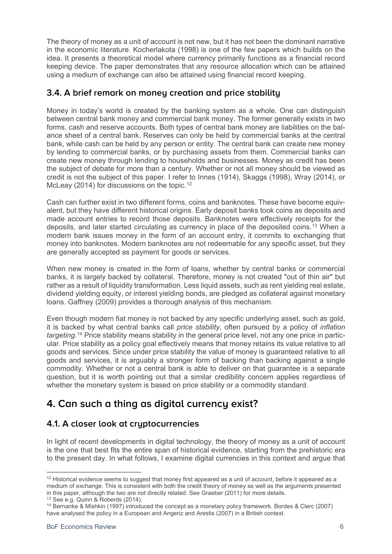The theory of money as a unit of account is not new, but it has not been the dominant narrative in the economic literature. Kocherlakota (1998) is one of the few papers which builds on the idea. It presents a theoretical model where currency primarily functions as a financial record keeping device. The paper demonstrates that any resource allocation which can be attained using a medium of exchange can also be attained using financial record keeping.

#### **3.4. A brief remark on money creation and price stability**

Money in today's world is created by the banking system as a whole. One can distinguish between central bank money and commercial bank money. The former generally exists in two forms, cash and reserve accounts. Both types of central bank money are liabilities on the balance sheet of a central bank. Reserves can only be held by commercial banks at the central bank, while cash can be held by any person or entity. The central bank can create new money by lending to commercial banks, or by purchasing assets from them. Commercial banks can create new money through lending to households and businesses. Money as credit has been the subject of debate for more than a century. Whether or not all money should be viewed as credit is not the subject of this paper. I refer to Innes (1914), Skaggs (1998), Wray (2014), or McLeay (2014) for discussions on the topic.<sup>[12](#page-6-0)</sup>

Cash can further exist in two different forms, coins and banknotes. These have become equivalent, but they have different historical origins. Early deposit banks took coins as deposits and made account entries to record those deposits. Banknotes were effectively receipts for the deposits, and later started circulating as currency in place of the deposited coins.[13](#page-6-1) When a modern bank issues money in the form of an account entry, it commits to exchanging that money into banknotes. Modern banknotes are not redeemable for any specific asset, but they are generally accepted as payment for goods or services.

When new money is created in the form of loans, whether by central banks or commercial banks, it is largely backed by collateral. Therefore, money is not created "out of thin air" but rather as a result of liquidity transformation. Less liquid assets, such as rent yielding real estate, dividend yielding equity, or interest yielding bonds, are pledged as collateral against monetary loans. Gaffney (2009) provides a thorough analysis of this mechanism.

Even though modern fiat money is not backed by any specific underlying asset, such as gold, it is backed by what central banks call *price stability*, often pursued by a policy of *inflation targeting*.[14](#page-6-2) Price stability means stability in the general price level, not any one price in particular. Price stability as a policy goal effectively means that money retains its value relative to all goods and services. Since under price stability the value of money is guaranteed relative to all goods and services, it is arguably a stronger form of backing than backing against a single commodity. Whether or not a central bank is able to deliver on that guarantee is a separate question, but it is worth pointing out that a similar credibility concern applies regardless of whether the monetary system is based on price stability or a commodity standard.

## **4. Can such a thing as digital currency exist?**

#### **4.1. A closer look at cryptocurrencies**

In light of recent developments in digital technology, the theory of money as a unit of account is the one that best fits the entire span of historical evidence, starting from the prehistoric era to the present day. In what follows, I examine digital currencies in this context and argue that

<span id="page-6-0"></span><sup>-</sup><sup>12</sup> Historical evidence seems to suggest that money first appeared as a unit of account, before it appeared as a medium of exchange. This is consistent with both the credit theory of money as well as the arguments presented in this paper, although the two are not directly related. See Graeber (2011) for more details.<br><sup>13</sup> See e.g. Quinn & Roberds (2014).

<span id="page-6-1"></span>

<span id="page-6-2"></span> $14$  Bernanke & Mishkin (1997) introduced the concept as a monetary policy framework. Bordes & Clerc (2007) have analysed the policy in a European and Angeriz and Arestis (2007) in a British context.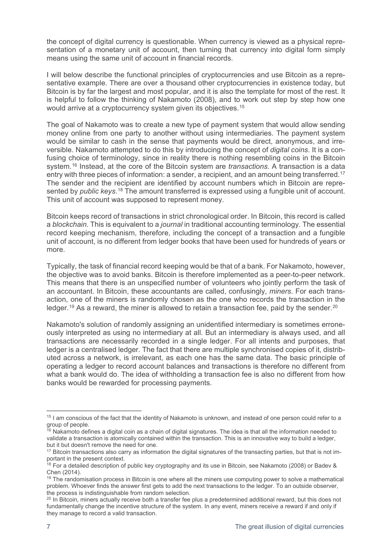the concept of digital currency is questionable. When currency is viewed as a physical representation of a monetary unit of account, then turning that currency into digital form simply means using the same unit of account in financial records.

I will below describe the functional principles of cryptocurrencies and use Bitcoin as a representative example. There are over a thousand other cryptocurrencies in existence today, but Bitcoin is by far the largest and most popular, and it is also the template for most of the rest. It is helpful to follow the thinking of Nakamoto (2008), and to work out step by step how one would arrive at a cryptocurrency system given its objectives.<sup>[15](#page-7-0)</sup>

The goal of Nakamoto was to create a new type of payment system that would allow sending money online from one party to another without using intermediaries. The payment system would be similar to cash in the sense that payments would be direct, anonymous, and irreversible. Nakamoto attempted to do this by introducing the concept of *digital coins*. It is a confusing choice of terminology, since in reality there is nothing resembling coins in the Bitcoin system.[16](#page-7-1) Instead, at the core of the Bitcoin system are *transactions*. A transaction is a data entry with three pieces of information: a sender, a recipient, and an amount being transferred.<sup>[17](#page-7-2)</sup> The sender and the recipient are identified by account numbers which in Bitcoin are represented by *public keys*.[18](#page-7-3) The amount transferred is expressed using a fungible unit of account. This unit of account was supposed to represent money.

Bitcoin keeps record of transactions in strict chronological order. In Bitcoin, this record is called a *blockchain*. This is equivalent to a *journal* in traditional accounting terminology. The essential record keeping mechanism, therefore, including the concept of a transaction and a fungible unit of account, is no different from ledger books that have been used for hundreds of years or more.

Typically, the task of financial record keeping would be that of a bank. For Nakamoto, however, the objective was to avoid banks. Bitcoin is therefore implemented as a peer-to-peer network. This means that there is an unspecified number of volunteers who jointly perform the task of an accountant. In Bitcoin, these accountants are called, confusingly, *miners*. For each transaction, one of the miners is randomly chosen as the one who records the transaction in the ledger.<sup>[19](#page-7-4)</sup> As a reward, the miner is allowed to retain a transaction fee, paid by the sender.<sup>[20](#page-7-5)</sup>

Nakamoto's solution of randomly assigning an unidentified intermediary is sometimes erroneously interpreted as using no intermediary at all. But an intermediary is always used, and all transactions are necessarily recorded in a single ledger. For all intents and purposes, that ledger is a centralised ledger. The fact that there are multiple synchronised copies of it, distributed across a network, is irrelevant, as each one has the same data. The basic principle of operating a ledger to record account balances and transactions is therefore no different from what a bank would do. The idea of withholding a transaction fee is also no different from how banks would be rewarded for processing payments.

<span id="page-7-0"></span><sup>&</sup>lt;u>.</u> <sup>15</sup> I am conscious of the fact that the identity of Nakamoto is unknown, and instead of one person could refer to a group of people.

<span id="page-7-1"></span> $16$  Nakamoto defines a digital coin as a chain of digital signatures. The idea is that all the information needed to validate a transaction is atomically contained within the transaction. This is an innovative way to build a ledger, but it but doesn't remove the need for one.

<span id="page-7-2"></span> $17$  Bitcoin transactions also carry as information the digital signatures of the transacting parties, but that is not important in the present context.

<span id="page-7-3"></span><sup>&</sup>lt;sup>18</sup> For a detailed description of public key cryptography and its use in Bitcoin, see Nakamoto (2008) or Badev & Chen (2014).

<span id="page-7-4"></span> $19$  The randomisation process in Bitcoin is one where all the miners use computing power to solve a mathematical problem. Whoever finds the answer first gets to add the next transactions to the ledger. To an outside observer, the process is indistinguishable from random selection.

<span id="page-7-5"></span><sup>&</sup>lt;sup>20</sup> In Bitcoin, miners actually receive both a transfer fee plus a predetermined additional reward, but this does not fundamentally change the incentive structure of the system. In any event, miners receive a reward if and only if they manage to record a valid transaction.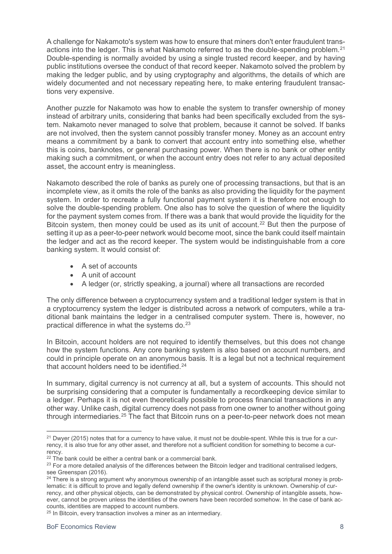A challenge for Nakamoto's system was how to ensure that miners don't enter fraudulent trans-actions into the ledger. This is what Nakamoto referred to as the double-spending problem.<sup>[21](#page-8-0)</sup> Double-spending is normally avoided by using a single trusted record keeper, and by having public institutions oversee the conduct of that record keeper. Nakamoto solved the problem by making the ledger public, and by using cryptography and algorithms, the details of which are widely documented and not necessary repeating here, to make entering fraudulent transactions very expensive.

Another puzzle for Nakamoto was how to enable the system to transfer ownership of money instead of arbitrary units, considering that banks had been specifically excluded from the system. Nakamoto never managed to solve that problem, because it cannot be solved. If banks are not involved, then the system cannot possibly transfer money. Money as an account entry means a commitment by a bank to convert that account entry into something else, whether this is coins, banknotes, or general purchasing power. When there is no bank or other entity making such a commitment, or when the account entry does not refer to any actual deposited asset, the account entry is meaningless.

Nakamoto described the role of banks as purely one of processing transactions, but that is an incomplete view, as it omits the role of the banks as also providing the liquidity for the payment system. In order to recreate a fully functional payment system it is therefore not enough to solve the double-spending problem. One also has to solve the question of where the liquidity for the payment system comes from. If there was a bank that would provide the liquidity for the Bitcoin system, then money could be used as its unit of account.<sup>[22](#page-8-1)</sup> But then the purpose of setting it up as a peer-to-peer network would become moot, since the bank could itself maintain the ledger and act as the record keeper. The system would be indistinguishable from a core banking system. It would consist of:

- A set of accounts
- A unit of account
- A ledger (or, strictly speaking, a journal) where all transactions are recorded

The only difference between a cryptocurrency system and a traditional ledger system is that in a cryptocurrency system the ledger is distributed across a network of computers, while a traditional bank maintains the ledger in a centralised computer system. There is, however, no practical difference in what the systems do.[23](#page-8-2)

In Bitcoin, account holders are not required to identify themselves, but this does not change how the system functions. Any core banking system is also based on account numbers, and could in principle operate on an anonymous basis. It is a legal but not a technical requirement that account holders need to be identified.<sup>[24](#page-8-3)</sup>

In summary, digital currency is not currency at all, but a system of accounts. This should not be surprising considering that a computer is fundamentally a recordkeeping device similar to a ledger. Perhaps it is not even theoretically possible to process financial transactions in any other way. Unlike cash, digital currency does not pass from one owner to another without going through intermediaries.<sup>[25](#page-8-4)</sup> The fact that Bitcoin runs on a peer-to-peer network does not mean

<span id="page-8-0"></span><sup>&</sup>lt;u>.</u>  $21$  Dwyer (2015) notes that for a currency to have value, it must not be double-spent. While this is true for a currency, it is also true for any other asset, and therefore not a sufficient condition for something to become a currency.

 $22$  The bank could be either a central bank or a commercial bank.

<span id="page-8-2"></span><span id="page-8-1"></span><sup>&</sup>lt;sup>23</sup> For a more detailed analysis of the differences between the Bitcoin ledger and traditional centralised ledgers, see Greenspan (2016).

<span id="page-8-3"></span><sup>&</sup>lt;sup>24</sup> There is a strong argument why anonymous ownership of an intangible asset such as scriptural money is problematic: it is difficult to prove and legally defend ownership if the owner's identity is unknown. Ownership of currency, and other physical objects, can be demonstrated by physical control. Ownership of intangible assets, however, cannot be proven unless the identities of the owners have been recorded somehow. In the case of bank accounts, identities are mapped to account numbers.

<span id="page-8-4"></span><sup>&</sup>lt;sup>25</sup> In Bitcoin, every transaction involves a miner as an intermediary.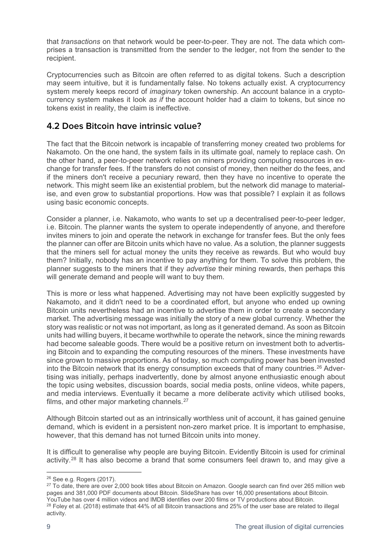that *transactions* on that network would be peer-to-peer. They are not. The data which comprises a transaction is transmitted from the sender to the ledger, not from the sender to the recipient.

Cryptocurrencies such as Bitcoin are often referred to as digital tokens. Such a description may seem intuitive, but it is fundamentally false. No tokens actually exist. A cryptocurrency system merely keeps record of *imaginary* token ownership. An account balance in a cryptocurrency system makes it look *as if* the account holder had a claim to tokens, but since no tokens exist in reality, the claim is ineffective.

#### **4.2 Does Bitcoin have intrinsic value?**

The fact that the Bitcoin network is incapable of transferring money created two problems for Nakamoto. On the one hand, the system fails in its ultimate goal, namely to replace cash. On the other hand, a peer-to-peer network relies on miners providing computing resources in exchange for transfer fees. If the transfers do not consist of money, then neither do the fees, and if the miners don't receive a pecuniary reward, then they have no incentive to operate the network. This might seem like an existential problem, but the network did manage to materialise, and even grow to substantial proportions. How was that possible? I explain it as follows using basic economic concepts.

Consider a planner, i.e. Nakamoto, who wants to set up a decentralised peer-to-peer ledger, i.e. Bitcoin. The planner wants the system to operate independently of anyone, and therefore invites miners to join and operate the network in exchange for transfer fees. But the only fees the planner can offer are Bitcoin units which have no value. As a solution, the planner suggests that the miners sell for actual money the units they receive as rewards. But who would buy them? Initially, nobody has an incentive to pay anything for them. To solve this problem, the planner suggests to the miners that if they *advertise* their mining rewards, then perhaps this will generate demand and people will want to buy them.

This is more or less what happened. Advertising may not have been explicitly suggested by Nakamoto, and it didn't need to be a coordinated effort, but anyone who ended up owning Bitcoin units nevertheless had an incentive to advertise them in order to create a secondary market. The advertising message was initially the story of a new global currency. Whether the story was realistic or not was not important, as long as it generated demand. As soon as Bitcoin units had willing buyers, it became worthwhile to operate the network, since the mining rewards had become saleable goods. There would be a positive return on investment both to advertising Bitcoin and to expanding the computing resources of the miners. These investments have since grown to massive proportions. As of today, so much computing power has been invested into the Bitcoin network that its energy consumption exceeds that of many countries.<sup>[26](#page-9-0)</sup> Advertising was initially, perhaps inadvertently, done by almost anyone enthusiastic enough about the topic using websites, discussion boards, social media posts, online videos, white papers, and media interviews. Eventually it became a more deliberate activity which utilised books, films, and other major marketing channels. $27$ 

Although Bitcoin started out as an intrinsically worthless unit of account, it has gained genuine demand, which is evident in a persistent non-zero market price. It is important to emphasise, however, that this demand has not turned Bitcoin units into money.

It is difficult to generalise why people are buying Bitcoin. Evidently Bitcoin is used for criminal activity.[28](#page-9-2) It has also become a brand that some consumers feel drawn to, and may give a

<sup>-</sup><sup>26</sup> See e.g. Rogers (2017).

<span id="page-9-1"></span><span id="page-9-0"></span><sup>&</sup>lt;sup>27</sup> To date, there are over 2,000 book titles about Bitcoin on Amazon. Google search can find over 265 million web pages and 381,000 PDF documents about Bitcoin. SlideShare has over 16,000 presentations about Bitcoin. YouTube has over 4 million videos and IMDB identifies over 200 films or TV productions about Bitcoin.

<span id="page-9-2"></span><sup>&</sup>lt;sup>28</sup> Foley et al. (2018) estimate that 44% of all Bitcoin transactions and 25% of the user base are related to illegal activity.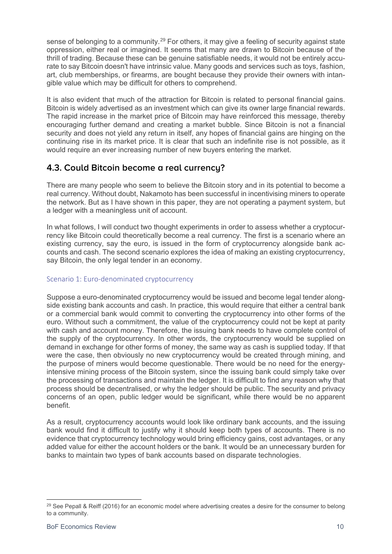sense of belonging to a community.<sup>[29](#page-10-0)</sup> For others, it may give a feeling of security against state oppression, either real or imagined. It seems that many are drawn to Bitcoin because of the thrill of trading. Because these can be genuine satisfiable needs, it would not be entirely accurate to say Bitcoin doesn't have intrinsic value. Many goods and services such as toys, fashion, art, club memberships, or firearms, are bought because they provide their owners with intangible value which may be difficult for others to comprehend.

It is also evident that much of the attraction for Bitcoin is related to personal financial gains. Bitcoin is widely advertised as an investment which can give its owner large financial rewards. The rapid increase in the market price of Bitcoin may have reinforced this message, thereby encouraging further demand and creating a market bubble. Since Bitcoin is not a financial security and does not yield any return in itself, any hopes of financial gains are hinging on the continuing rise in its market price. It is clear that such an indefinite rise is not possible, as it would require an ever increasing number of new buyers entering the market.

#### **4.3. Could Bitcoin become a real currency?**

There are many people who seem to believe the Bitcoin story and in its potential to become a real currency. Without doubt, Nakamoto has been successful in incentivising miners to operate the network. But as I have shown in this paper, they are not operating a payment system, but a ledger with a meaningless unit of account.

In what follows, I will conduct two thought experiments in order to assess whether a cryptocurrency like Bitcoin could theoretically become a real currency. The first is a scenario where an existing currency, say the euro, is issued in the form of cryptocurrency alongside bank accounts and cash. The second scenario explores the idea of making an existing cryptocurrency, say Bitcoin, the only legal tender in an economy.

#### Scenario 1: Euro-denominated cryptocurrency

Suppose a euro-denominated cryptocurrency would be issued and become legal tender alongside existing bank accounts and cash. In practice, this would require that either a central bank or a commercial bank would commit to converting the cryptocurrency into other forms of the euro. Without such a commitment, the value of the cryptocurrency could not be kept at parity with cash and account money. Therefore, the issuing bank needs to have complete control of the supply of the cryptocurrency. In other words, the cryptocurrency would be supplied on demand in exchange for other forms of money, the same way as cash is supplied today. If that were the case, then obviously no new cryptocurrency would be created through mining, and the purpose of miners would become questionable. There would be no need for the energyintensive mining process of the Bitcoin system, since the issuing bank could simply take over the processing of transactions and maintain the ledger. It is difficult to find any reason why that process should be decentralised, or why the ledger should be public. The security and privacy concerns of an open, public ledger would be significant, while there would be no apparent benefit.

As a result, cryptocurrency accounts would look like ordinary bank accounts, and the issuing bank would find it difficult to justify why it should keep both types of accounts. There is no evidence that cryptocurrency technology would bring efficiency gains, cost advantages, or any added value for either the account holders or the bank. It would be an unnecessary burden for banks to maintain two types of bank accounts based on disparate technologies.

<span id="page-10-0"></span><sup>&</sup>lt;u>.</u> <sup>29</sup> See Pepall & Reiff (2016) for an economic model where advertising creates a desire for the consumer to belong to a community.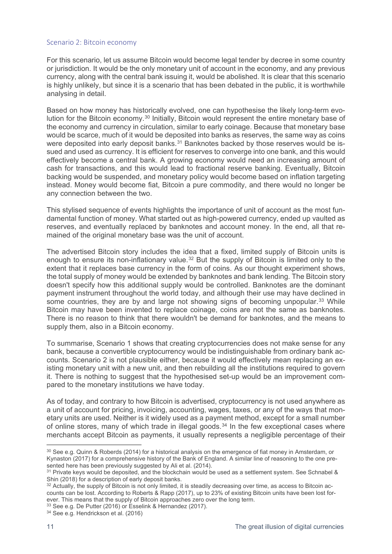#### Scenario 2: Bitcoin economy

For this scenario, let us assume Bitcoin would become legal tender by decree in some country or jurisdiction. It would be the only monetary unit of account in the economy, and any previous currency, along with the central bank issuing it, would be abolished. It is clear that this scenario is highly unlikely, but since it is a scenario that has been debated in the public, it is worthwhile analysing in detail.

Based on how money has historically evolved, one can hypothesise the likely long-term evolution for the Bitcoin economy.[30](#page-11-0) Initially, Bitcoin would represent the entire monetary base of the economy and currency in circulation, similar to early coinage. Because that monetary base would be scarce, much of it would be deposited into banks as reserves, the same way as coins were deposited into early deposit banks.<sup>[31](#page-11-1)</sup> Banknotes backed by those reserves would be issued and used as currency. It is efficient for reserves to converge into one bank, and this would effectively become a central bank. A growing economy would need an increasing amount of cash for transactions, and this would lead to fractional reserve banking. Eventually, Bitcoin backing would be suspended, and monetary policy would become based on inflation targeting instead. Money would become fiat, Bitcoin a pure commodity, and there would no longer be any connection between the two.

This stylised sequence of events highlights the importance of unit of account as the most fundamental function of money. What started out as high-powered currency, ended up vaulted as reserves, and eventually replaced by banknotes and account money. In the end, all that remained of the original monetary base was the unit of account.

The advertised Bitcoin story includes the idea that a fixed, limited supply of Bitcoin units is enough to ensure its non-inflationary value.<sup>[32](#page-11-2)</sup> But the supply of Bitcoin is limited only to the extent that it replaces base currency in the form of coins. As our thought experiment shows, the total supply of money would be extended by banknotes and bank lending. The Bitcoin story doesn't specify how this additional supply would be controlled. Banknotes are the dominant payment instrument throughout the world today, and although their use may have declined in some countries, they are by and large not showing signs of becoming unpopular.<sup>[33](#page-11-3)</sup> While Bitcoin may have been invented to replace coinage, coins are not the same as banknotes. There is no reason to think that there wouldn't be demand for banknotes, and the means to supply them, also in a Bitcoin economy.

To summarise, Scenario 1 shows that creating cryptocurrencies does not make sense for any bank, because a convertible cryptocurrency would be indistinguishable from ordinary bank accounts. Scenario 2 is not plausible either, because it would effectively mean replacing an existing monetary unit with a new unit, and then rebuilding all the institutions required to govern it. There is nothing to suggest that the hypothesised set-up would be an improvement compared to the monetary institutions we have today.

As of today, and contrary to how Bitcoin is advertised, cryptocurrency is not used anywhere as a unit of account for pricing, invoicing, accounting, wages, taxes, or any of the ways that monetary units are used. Neither is it widely used as a payment method, except for a small number of online stores, many of which trade in illegal goods. $34$  In the few exceptional cases where merchants accept Bitcoin as payments, it usually represents a negligible percentage of their

<span id="page-11-0"></span><sup>&</sup>lt;u>.</u> <sup>30</sup> See e.g. Quinn & Roberds (2014) for a historical analysis on the emergence of fiat money in Amsterdam, or Kynaston (2017) for a comprehensive history of the Bank of England. A similar line of reasoning to the one presented here has been previously suggested by Ali et al. (2014).

<span id="page-11-1"></span><sup>&</sup>lt;sup>31</sup> Private keys would be deposited, and the blockchain would be used as a settlement system. See Schnabel & Shin (2018) for a description of early deposit banks.

<span id="page-11-2"></span><sup>&</sup>lt;sup>32</sup> Actually, the supply of Bitcoin is not only limited, it is steadily decreasing over time, as access to Bitcoin accounts can be lost. According to Roberts & Rapp (2017), up to 23% of existing Bitcoin units have been lost forever. This means that the supply of Bitcoin approaches zero over the long term.

<span id="page-11-3"></span><sup>33</sup> See e.g. De Putter (2016) or Esselink & Hernandez (2017).

<span id="page-11-4"></span><sup>34</sup> See e.g. Hendrickson et al. (2016)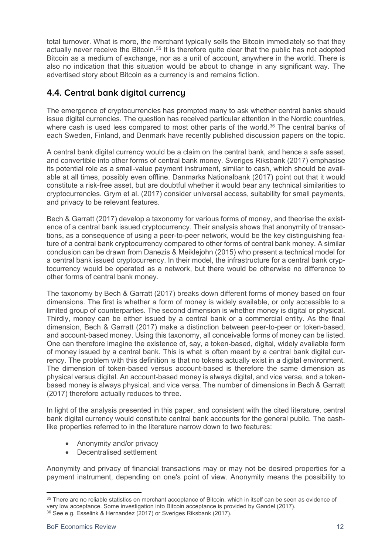total turnover. What is more, the merchant typically sells the Bitcoin immediately so that they actually never receive the Bitcoin.<sup>[35](#page-12-0)</sup> It is therefore quite clear that the public has not adopted Bitcoin as a medium of exchange, nor as a unit of account, anywhere in the world. There is also no indication that this situation would be about to change in any significant way. The advertised story about Bitcoin as a currency is and remains fiction.

### **4.4. Central bank digital currency**

The emergence of cryptocurrencies has prompted many to ask whether central banks should issue digital currencies. The question has received particular attention in the Nordic countries, where cash is used less compared to most other parts of the world.<sup>[36](#page-12-1)</sup> The central banks of each Sweden, Finland, and Denmark have recently published discussion papers on the topic.

A central bank digital currency would be a claim on the central bank, and hence a safe asset, and convertible into other forms of central bank money. Sveriges Riksbank (2017) emphasise its potential role as a small-value payment instrument, similar to cash, which should be available at all times, possibly even offline. Danmarks Nationalbank (2017) point out that it would constitute a risk-free asset, but are doubtful whether it would bear any technical similarities to cryptocurrencies. Grym et al. (2017) consider universal access, suitability for small payments, and privacy to be relevant features.

Bech & Garratt (2017) develop a taxonomy for various forms of money, and theorise the existence of a central bank issued cryptocurrency. Their analysis shows that anonymity of transactions, as a consequence of using a peer-to-peer network, would be the key distinguishing feature of a central bank cryptocurrency compared to other forms of central bank money. A similar conclusion can be drawn from Danezis & Meiklejohn (2015) who present a technical model for a central bank issued cryptocurrency. In their model, the infrastructure for a central bank cryptocurrency would be operated as a network, but there would be otherwise no difference to other forms of central bank money.

The taxonomy by Bech & Garratt (2017) breaks down different forms of money based on four dimensions. The first is whether a form of money is widely available, or only accessible to a limited group of counterparties. The second dimension is whether money is digital or physical. Thirdly, money can be either issued by a central bank or a commercial entity. As the final dimension, Bech & Garratt (2017) make a distinction between peer-to-peer or token-based, and account-based money. Using this taxonomy, all conceivable forms of money can be listed. One can therefore imagine the existence of, say, a token-based, digital, widely available form of money issued by a central bank. This is what is often meant by a central bank digital currency. The problem with this definition is that no tokens actually exist in a digital environment. The dimension of token-based versus account-based is therefore the same dimension as physical versus digital. An account-based money is always digital, and vice versa, and a tokenbased money is always physical, and vice versa. The number of dimensions in Bech & Garratt (2017) therefore actually reduces to three.

In light of the analysis presented in this paper, and consistent with the cited literature, central bank digital currency would constitute central bank accounts for the general public. The cashlike properties referred to in the literature narrow down to two features:

- Anonymity and/or privacy
- Decentralised settlement

Anonymity and privacy of financial transactions may or may not be desired properties for a payment instrument, depending on one's point of view. Anonymity means the possibility to

<span id="page-12-0"></span><sup>&</sup>lt;u>.</u> <sup>35</sup> There are no reliable statistics on merchant acceptance of Bitcoin, which in itself can be seen as evidence of very low acceptance. Some investigation into Bitcoin acceptance is provided by Gandel (2017).

<span id="page-12-1"></span><sup>36</sup> See e.g. Esselink & Hernandez (2017) or Sveriges Riksbank (2017).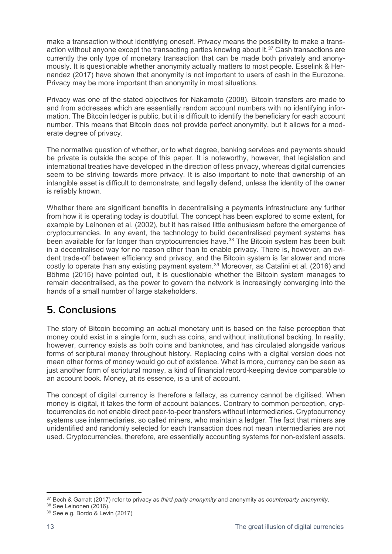make a transaction without identifying oneself. Privacy means the possibility to make a transaction without anyone except the transacting parties knowing about it. $37$  Cash transactions are currently the only type of monetary transaction that can be made both privately and anonymously. It is questionable whether anonymity actually matters to most people. Esselink & Hernandez (2017) have shown that anonymity is not important to users of cash in the Eurozone. Privacy may be more important than anonymity in most situations.

Privacy was one of the stated objectives for Nakamoto (2008). Bitcoin transfers are made to and from addresses which are essentially random account numbers with no identifying information. The Bitcoin ledger is public, but it is difficult to identify the beneficiary for each account number. This means that Bitcoin does not provide perfect anonymity, but it allows for a moderate degree of privacy.

The normative question of whether, or to what degree, banking services and payments should be private is outside the scope of this paper. It is noteworthy, however, that legislation and international treaties have developed in the direction of less privacy, whereas digital currencies seem to be striving towards more privacy. It is also important to note that ownership of an intangible asset is difficult to demonstrate, and legally defend, unless the identity of the owner is reliably known.

Whether there are significant benefits in decentralising a payments infrastructure any further from how it is operating today is doubtful. The concept has been explored to some extent, for example by Leinonen et al. (2002), but it has raised little enthusiasm before the emergence of cryptocurrencies. In any event, the technology to build decentralised payment systems has been available for far longer than cryptocurrencies have.<sup>[38](#page-13-1)</sup> The Bitcoin system has been built in a decentralised way for no reason other than to enable privacy. There is, however, an evident trade-off between efficiency and privacy, and the Bitcoin system is far slower and more costly to operate than any existing payment system.<sup>[39](#page-13-2)</sup> Moreover, as Catalini et al. (2016) and Böhme (2015) have pointed out, it is questionable whether the Bitcoin system manages to remain decentralised, as the power to govern the network is increasingly converging into the hands of a small number of large stakeholders.

## **5. Conclusions**

The story of Bitcoin becoming an actual monetary unit is based on the false perception that money could exist in a single form, such as coins, and without institutional backing. In reality, however, currency exists as both coins and banknotes, and has circulated alongside various forms of scriptural money throughout history. Replacing coins with a digital version does not mean other forms of money would go out of existence. What is more, currency can be seen as just another form of scriptural money, a kind of financial record-keeping device comparable to an account book. Money, at its essence, is a unit of account.

The concept of digital currency is therefore a fallacy, as currency cannot be digitised. When money is digital, it takes the form of account balances. Contrary to common perception, cryptocurrencies do not enable direct peer-to-peer transfers without intermediaries. Cryptocurrency systems use intermediaries, so called miners, who maintain a ledger. The fact that miners are unidentified and randomly selected for each transaction does not mean intermediaries are not used. Cryptocurrencies, therefore, are essentially accounting systems for non-existent assets.

<span id="page-13-1"></span><span id="page-13-0"></span><sup>38</sup> See Leinonen (2016).

<sup>&</sup>lt;u>.</u> <sup>37</sup> Bech & Garratt (2017) refer to privacy as *third-party anonymity* and anonymity as *counterparty anonymity*.

<span id="page-13-2"></span><sup>39</sup> See e.g. Bordo & Levin (2017)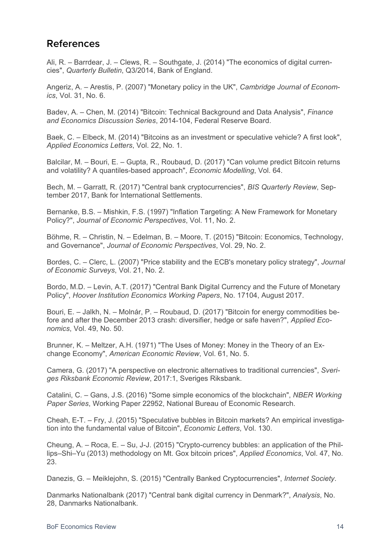## **References**

Ali, R. – Barrdear, J. – Clews, R. – Southgate, J. (2014) "The economics of digital currencies", *Quarterly Bulletin*, Q3/2014, Bank of England.

Angeriz, A. – Arestis, P. (2007) "Monetary policy in the UK", *Cambridge Journal of Economics*, Vol. 31, No. 6.

Badev, A. – Chen, M. (2014) "Bitcoin: Technical Background and Data Analysis", *Finance and Economics Discussion Series*, 2014-104, Federal Reserve Board.

Baek, C. – Elbeck, M. (2014) "Bitcoins as an investment or speculative vehicle? A first look", *Applied Economics Letters*, Vol. 22, No. 1.

Balcilar, M. – Bouri, E. – Gupta, R., Roubaud, D. (2017) "Can volume predict Bitcoin returns and volatility? A quantiles-based approach", *Economic Modelling*, Vol. 64.

Bech, M. – Garratt, R. (2017) "Central bank cryptocurrencies", *BIS Quarterly Review*, September 2017, Bank for International Settlements.

Bernanke, B.S. – Mishkin, F.S. (1997) "Inflation Targeting: A New Framework for Monetary Policy?", *Journal of Economic Perspectives*, Vol. 11, No. 2.

Böhme, R. – Christin, N. – Edelman, B. – Moore, T. (2015) "Bitcoin: Economics, Technology, and Governance", *Journal of Economic Perspectives*, Vol. 29, No. 2.

Bordes, C. – Clerc, L. (2007) "Price stability and the ECB's monetary policy strategy", *Journal of Economic Surveys*, Vol. 21, No. 2.

Bordo, M.D. – Levin, A.T. (2017) "Central Bank Digital Currency and the Future of Monetary Policy", *Hoover Institution Economics Working Papers*, No. 17104, August 2017.

Bouri, E. – Jalkh, N. – Molnár, P. – Roubaud, D. (2017) "Bitcoin for energy commodities before and after the December 2013 crash: diversifier, hedge or safe haven?", *Applied Economics*, Vol. 49, No. 50.

Brunner, K. – Meltzer, A.H. (1971) "The Uses of Money: Money in the Theory of an Exchange Economy", *American Economic Review*, Vol. 61, No. 5.

Camera, G. (2017) "A perspective on electronic alternatives to traditional currencies", *Sveriges Riksbank Economic Review*, 2017:1, Sveriges Riksbank.

Catalini, C. – Gans, J.S. (2016) "Some simple economics of the blockchain", *NBER Working Paper Series*, Working Paper 22952, National Bureau of Economic Research.

Cheah, E-T. – Fry, J. (2015) "Speculative bubbles in Bitcoin markets? An empirical investigation into the fundamental value of Bitcoin", *Economic Letters*, Vol. 130.

Cheung, A. – Roca, E. – Su, J-J. (2015) "Crypto-currency bubbles: an application of the Phillips–Shi–Yu (2013) methodology on Mt. Gox bitcoin prices", *Applied Economics*, Vol. 47, No. 23.

Danezis, G. – Meiklejohn, S. (2015) "Centrally Banked Cryptocurrencies", *Internet Society*.

Danmarks Nationalbank (2017) "Central bank digital currency in Denmark?", *Analysis*, No. 28, Danmarks Nationalbank.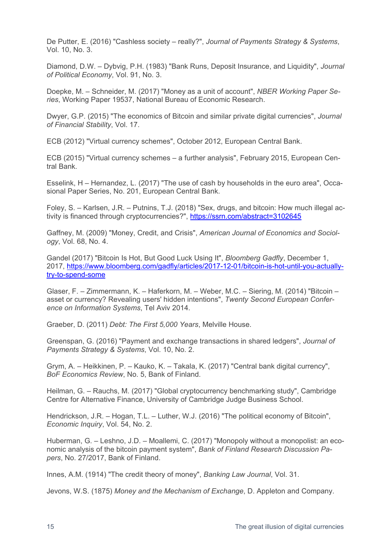De Putter, E. (2016) "Cashless society – really?", *Journal of Payments Strategy & Systems*, Vol. 10, No. 3.

Diamond, D.W. – Dybvig, P.H. (1983) "Bank Runs, Deposit Insurance, and Liquidity", *Journal of Political Economy*, Vol. 91, No. 3.

Doepke, M. – Schneider, M. (2017) "Money as a unit of account", *NBER Working Paper Series*, Working Paper 19537, National Bureau of Economic Research.

Dwyer, G.P. (2015) "The economics of Bitcoin and similar private digital currencies", *Journal of Financial Stability*, Vol. 17.

ECB (2012) "Virtual currency schemes", October 2012, European Central Bank.

ECB (2015) "Virtual currency schemes – a further analysis", February 2015, European Central Bank.

Esselink, H – Hernandez, L. (2017) "The use of cash by households in the euro area", Occasional Paper Series, No. 201, European Central Bank.

Foley, S. – Karlsen, J.R. – Putnins, T.J. (2018) "Sex, drugs, and bitcoin: How much illegal activity is financed through cryptocurrencies?",<https://ssrn.com/abstract=3102645>

Gaffney, M. (2009) "Money, Credit, and Crisis", *American Journal of Economics and Sociology*, Vol. 68, No. 4.

Gandel (2017) "Bitcoin Is Hot, But Good Luck Using It", *Bloomberg Gadfly*, December 1, 2017, [https://www.bloomberg.com/gadfly/articles/2017-12-01/bitcoin-is-hot-until-you-actually](https://www.bloomberg.com/gadfly/articles/2017-12-01/bitcoin-is-hot-until-you-actually-try-to-spend-some)[try-to-spend-some](https://www.bloomberg.com/gadfly/articles/2017-12-01/bitcoin-is-hot-until-you-actually-try-to-spend-some)

Glaser, F. – Zimmermann, K. – Haferkorn, M. – Weber, M.C. – Siering, M. (2014) "Bitcoin – asset or currency? Revealing users' hidden intentions", *Twenty Second European Conference on Information Systems*, Tel Aviv 2014.

Graeber, D. (2011) *Debt: The First 5,000 Years*, Melville House.

Greenspan, G. (2016) "Payment and exchange transactions in shared ledgers", *Journal of Payments Strategy & Systems*, Vol. 10, No. 2.

Grym, A. – Heikkinen, P. – Kauko, K. – Takala, K. (2017) "Central bank digital currency", *BoF Economics Review*, No. 5, Bank of Finland.

Heilman, G. – Rauchs, M. (2017) "Global cryptocurrency benchmarking study", Cambridge Centre for Alternative Finance, University of Cambridge Judge Business School.

Hendrickson, J.R. – Hogan, T.L. – Luther, W.J. (2016) "The political economy of Bitcoin", *Economic Inquiry*, Vol. 54, No. 2.

Huberman, G. – Leshno, J.D. – Moallemi, C. (2017) "Monopoly without a monopolist: an economic analysis of the bitcoin payment system", *Bank of Finland Research Discussion Papers*, No. 27/2017, Bank of Finland.

Innes, A.M. (1914) "The credit theory of money", *Banking Law Journal*, Vol. 31.

Jevons, W.S. (1875) *Money and the Mechanism of Exchange*, D. Appleton and Company.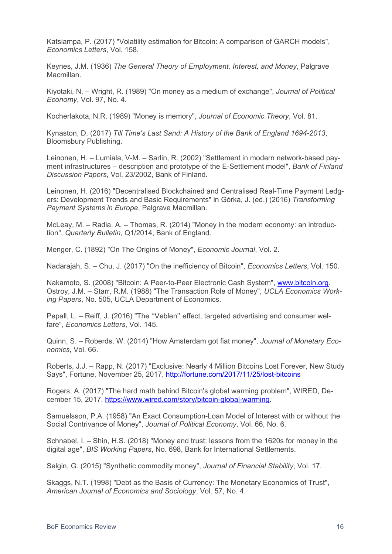Katsiampa, P. (2017) "Volatility estimation for Bitcoin: A comparison of GARCH models", *Economics Letters*, Vol. 158.

Keynes, J.M. (1936) *The General Theory of Employment, Interest, and Money*, Palgrave Macmillan.

Kiyotaki, N. – Wright, R. (1989) "On money as a medium of exchange", *Journal of Political Economy*, Vol. 97, No. 4.

Kocherlakota, N.R. (1989) "Money is memory", *Journal of Economic Theory*, Vol. 81.

Kynaston, D. (2017) *Till Time's Last Sand: A History of the Bank of England 1694-2013*, Bloomsbury Publishing.

Leinonen, H. – Lumiala, V-M. – Sarlin, R. (2002) "Settlement in modern network-based payment infrastructures – description and prototype of the E-Settlement model", *Bank of Finland Discussion Papers*, Vol. 23/2002, Bank of Finland.

Leinonen, H. (2016) "Decentralised Blockchained and Centralised Real-Time Payment Ledgers: Development Trends and Basic Requirements" in Górka, J. (ed.) (2016) *Transforming Payment Systems in Europe*, Palgrave Macmillan.

McLeay, M. – Radia, A. – Thomas, R. (2014) "Money in the modern economy: an introduction", *Quarterly Bulletin*, Q1/2014, Bank of England.

Menger, C. (1892) "On The Origins of Money", *Economic Journal*, Vol. 2.

Nadarajah, S. – Chu, J. (2017) "On the inefficiency of Bitcoin", *Economics Letters*, Vol. 150.

Nakamoto, S. (2008) "Bitcoin: A Peer-to-Peer Electronic Cash System", [www.bitcoin.org.](http://www.bitcoin.org/) Ostroy, J.M. – Starr, R.M. (1988) "The Transaction Role of Money", *UCLA Economics Working Papers*, No. 505, UCLA Department of Economics.

Pepall, L. – Reiff, J. (2016) "The ''Veblen'' effect, targeted advertising and consumer welfare", *Economics Letters*, Vol. 145.

Quinn, S. – Roberds, W. (2014) "How Amsterdam got fiat money", *Journal of Monetary Economics*, Vol. 66.

Roberts, J.J. – Rapp, N. (2017) "Exclusive: Nearly 4 Million Bitcoins Lost Forever, New Study Says", Fortune, November 25, 2017,<http://fortune.com/2017/11/25/lost-bitcoins>

Rogers, A. (2017) "The hard math behind Bitcoin's global warming problem", WIRED, December 15, 2017, [https://www.wired.com/story/bitcoin-global-warming.](https://www.wired.com/story/bitcoin-global-warming)

Samuelsson, P.A. (1958) "An Exact Consumption-Loan Model of Interest with or without the Social Contrivance of Money", *Journal of Political Economy*, Vol. 66, No. 6.

Schnabel, I. – Shin, H.S. (2018) "Money and trust: lessons from the 1620s for money in the digital age", *BIS Working Papers*, No. 698, Bank for International Settlements.

Selgin, G. (2015) "Synthetic commodity money", *Journal of Financial Stability*, Vol. 17.

Skaggs, N.T. (1998) "Debt as the Basis of Currency: The Monetary Economics of Trust", *American Journal of Economics and Sociology*, Vol. 57, No. 4.